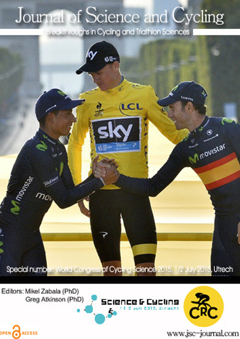## Journal of Science and Cycling

Breakthroughs in Cycling and Triathlon Sciences



Editors: Mikel Zabala (PhD) Greg Atkinson (PhD)

OPEN CACCESS





www.jsc-journal.com